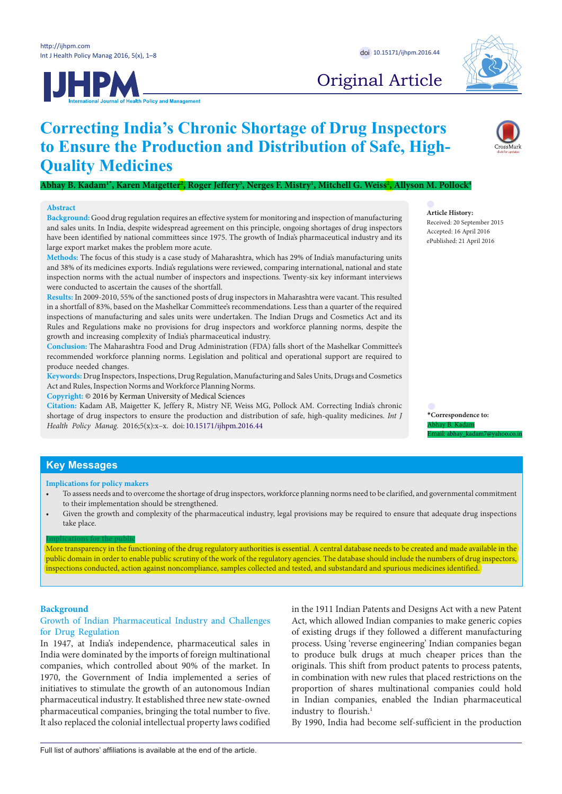**JHPM** 



# Original Article

# **Correcting India's Chronic Shortage of Drug Inspectors to Ensure the Production and Distribution of Safe, High-Quality Medicines**

 $A$ bhay B. Kadam<sup>1</sup>', Karen Maigetter<sup>2</sup>, Roger Jeffery<sup>3</sup>, Nerges F. Mistry<sup>1</sup>, Mitchell G. Weiss<sup>2</sup>, Allyson M. Pollock<sup>4</sup>

#### **Abstract**

**Background:** Good drug regulation requires an effective system for monitoring and inspection of manufacturing and sales units. In India, despite widespread agreement on this principle, ongoing shortages of drug inspectors have been identified by national committees since 1975. The growth of India's pharmaceutical industry and its large export market makes the problem more acute.

**Methods:** The focus of this study is a case study of Maharashtra, which has 29% of India's manufacturing units and 38% of its medicines exports. India's regulations were reviewed, comparing international, national and state inspection norms with the actual number of inspectors and inspections. Twenty-six key informant interviews were conducted to ascertain the causes of the shortfall.

**Results:** In 2009-2010, 55% of the sanctioned posts of drug inspectors in Maharashtra were vacant. This resulted in a shortfall of 83%, based on the Mashelkar Committee's recommendations. Less than a quarter of the required inspections of manufacturing and sales units were undertaken. The Indian Drugs and Cosmetics Act and its Rules and Regulations make no provisions for drug inspectors and workforce planning norms, despite the growth and increasing complexity of India's pharmaceutical industry.

**Conclusion:** The Maharashtra Food and Drug Administration (FDA) falls short of the Mashelkar Committee's recommended workforce planning norms. Legislation and political and operational support are required to produce needed changes.

**Keywords:** Drug Inspectors, Inspections, Drug Regulation, Manufacturing and Sales Units, Drugs and Cosmetics Act and Rules, Inspection Norms and Workforce Planning Norms.

**Copyright:** © 2016 by Kerman University of Medical Sciences

**Citation:** Kadam AB, Maigetter K, Jeffery R, Mistry NF, Weiss MG, Pollock AM. Correcting India's chronic shortage of drug inspectors to ensure the production and distribution of safe, high-quality medicines. *Int J Health Policy Manag.* 2016;5(x):x–x. doi: 10.15171/ijhpm.2016.44

## **Article History:**

Received: 20 September 2015 Accepted: 16 April 2016 ePublished: 21 April 2016

**\*Correspondence to:** Abhay B. Kadam Email: abhay\_kadam7@yahoo.co.in

# **Key Messages**

**Implications for policy makers**

- To assess needs and to overcome the shortage of drug inspectors, workforce planning norms need to be clarified, and governmental commitment to their implementation should be strengthened.
- Given the growth and complexity of the pharmaceutical industry, legal provisions may be required to ensure that adequate drug inspections take place.

#### **Implications for the public**

More transparency in the functioning of the drug regulatory authorities is essential. A central database needs to be created and made available in the public domain in order to enable public scrutiny of the work of the regulatory agencies. The database should include the numbers of drug inspectors, inspections conducted, action against noncompliance, samples collected and tested, and substandard and spurious medicines identified.

#### **Background**

## Growth of Indian Pharmaceutical Industry and Challenges for Drug Regulation

In 1947, at India's independence, pharmaceutical sales in India were dominated by the imports of foreign multinational companies, which controlled about 90% of the market. In 1970, the Government of India implemented a series of initiatives to stimulate the growth of an autonomous Indian pharmaceutical industry. It established three new state-owned pharmaceutical companies, bringing the total number to five. It also replaced the colonial intellectual property laws codified in the 1911 Indian Patents and Designs Act with a new Patent Act, which allowed Indian companies to make generic copies of existing drugs if they followed a different manufacturing process. Using 'reverse engineering' Indian companies began to produce bulk drugs at much cheaper prices than the originals. This shift from product patents to process patents, in combination with new rules that placed restrictions on the proportion of shares multinational companies could hold in Indian companies, enabled the Indian pharmaceutical industry to flourish.<sup>1</sup>

By 1990, India had become self-sufficient in the production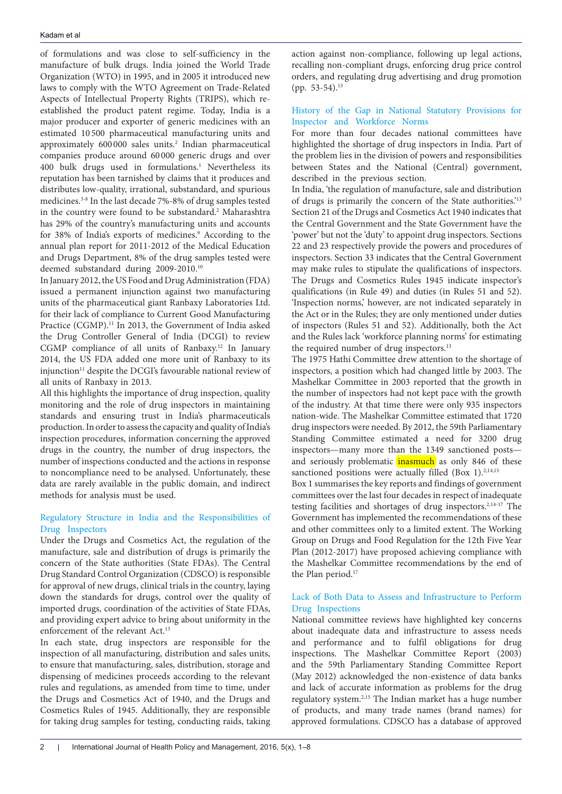of formulations and was close to self-sufficiency in the manufacture of bulk drugs. India joined the World Trade Organization (WTO) in 1995, and in 2005 it introduced new laws to comply with the WTO Agreement on Trade-Related Aspects of Intellectual Property Rights (TRIPS), which reestablished the product patent regime. Today, India is a major producer and exporter of generic medicines with an estimated 10 500 pharmaceutical manufacturing units and approximately 600 000 sales units.2 Indian pharmaceutical companies produce around 60 000 generic drugs and over 400 bulk drugs used in formulations.<sup>1</sup> Nevertheless its reputation has been tarnished by claims that it produces and distributes low-quality, irrational, substandard, and spurious medicines.3-8 In the last decade 7%-8% of drug samples tested in the country were found to be substandard.<sup>2</sup> Maharashtra has 29% of the country's manufacturing units and accounts for 38% of India's exports of medicines.<sup>9</sup> According to the annual plan report for 2011-2012 of the Medical Education and Drugs Department, 8% of the drug samples tested were deemed substandard during 2009-2010.10

In January 2012, the US Food and Drug Administration (FDA) issued a permanent injunction against two manufacturing units of the pharmaceutical giant Ranbaxy Laboratories Ltd. for their lack of compliance to Current Good Manufacturing Practice (CGMP).<sup>11</sup> In 2013, the Government of India asked the Drug Controller General of India (DCGI) to review CGMP compliance of all units of Ranbaxy.12 In January 2014, the US FDA added one more unit of Ranbaxy to its injunction<sup>11</sup> despite the DCGI's favourable national review of all units of Ranbaxy in 2013.

All this highlights the importance of drug inspection, quality monitoring and the role of drug inspectors in maintaining standards and ensuring trust in India's pharmaceuticals production. In order to assess the capacity and quality of India's inspection procedures, information concerning the approved drugs in the country, the number of drug inspectors, the number of inspections conducted and the actions in response to noncompliance need to be analysed. Unfortunately, these data are rarely available in the public domain, and indirect methods for analysis must be used.

# Regulatory Structure in India and the Responsibilities of Drug Inspectors

Under the Drugs and Cosmetics Act, the regulation of the manufacture, sale and distribution of drugs is primarily the concern of the State authorities (State FDAs). The Central Drug Standard Control Organization (CDSCO) is responsible for approval of new drugs, clinical trials in the country, laying down the standards for drugs, control over the quality of imported drugs, coordination of the activities of State FDAs, and providing expert advice to bring about uniformity in the enforcement of the relevant Act.<sup>13</sup>

In each state, drug inspectors are responsible for the inspection of all manufacturing, distribution and sales units, to ensure that manufacturing, sales, distribution, storage and dispensing of medicines proceeds according to the relevant rules and regulations, as amended from time to time, under the Drugs and Cosmetics Act of 1940, and the Drugs and Cosmetics Rules of 1945. Additionally, they are responsible for taking drug samples for testing, conducting raids, taking action against non-compliance, following up legal actions, recalling non-compliant drugs, enforcing drug price control orders, and regulating drug advertising and drug promotion (pp. 53-54).<sup>13</sup>

# History of the Gap in National Statutory Provisions for Inspector and Workforce Norms

For more than four decades national committees have highlighted the shortage of drug inspectors in India. Part of the problem lies in the division of powers and responsibilities between States and the National (Central) government, described in the previous section.

In India, 'the regulation of manufacture, sale and distribution of drugs is primarily the concern of the State authorities.'13 Section 21 of the Drugs and Cosmetics Act 1940 indicates that the Central Government and the State Government have the 'power' but not the 'duty' to appoint drug inspectors. Sections 22 and 23 respectively provide the powers and procedures of inspectors. Section 33 indicates that the Central Government may make rules to stipulate the qualifications of inspectors. The Drugs and Cosmetics Rules 1945 indicate inspector's qualifications (in Rule 49) and duties (in Rules 51 and 52). 'Inspection norms,' however, are not indicated separately in the Act or in the Rules; they are only mentioned under duties of inspectors (Rules 51 and 52). Additionally, both the Act and the Rules lack 'workforce planning norms' for estimating the required number of drug inspectors.<sup>13</sup>

The 1975 Hathi Committee drew attention to the shortage of inspectors, a position which had changed little by 2003. The Mashelkar Committee in 2003 reported that the growth in the number of inspectors had not kept pace with the growth of the industry. At that time there were only 935 inspectors nation-wide. The Mashelkar Committee estimated that 1720 drug inspectors were needed. By 2012, the 59th Parliamentary Standing Committee estimated a need for 3200 drug inspectors—many more than the 1349 sanctioned posts and seriously problematic inasmuch as only 846 of these sanctioned positions were actually filled (Box 1). $2,14,15$ 

Box 1 summarises the key reports and findings of government committees over the last four decades in respect of inadequate testing facilities and shortages of drug inspectors.<sup>2,14-17</sup> The Government has implemented the recommendations of these and other committees only to a limited extent. The Working Group on Drugs and Food Regulation for the 12th Five Year Plan (2012-2017) have proposed achieving compliance with the Mashelkar Committee recommendations by the end of the Plan period.<sup>17</sup>

# Lack of Both Data to Assess and Infrastructure to Perform Drug Inspections

National committee reviews have highlighted key concerns about inadequate data and infrastructure to assess needs and performance and to fulfil obligations for drug inspections. The Mashelkar Committee Report (2003) and the 59th Parliamentary Standing Committee Report (May 2012) acknowledged the non-existence of data banks and lack of accurate information as problems for the drug regulatory system.2,15 The Indian market has a huge number of products, and many trade names (brand names) for approved formulations. CDSCO has a database of approved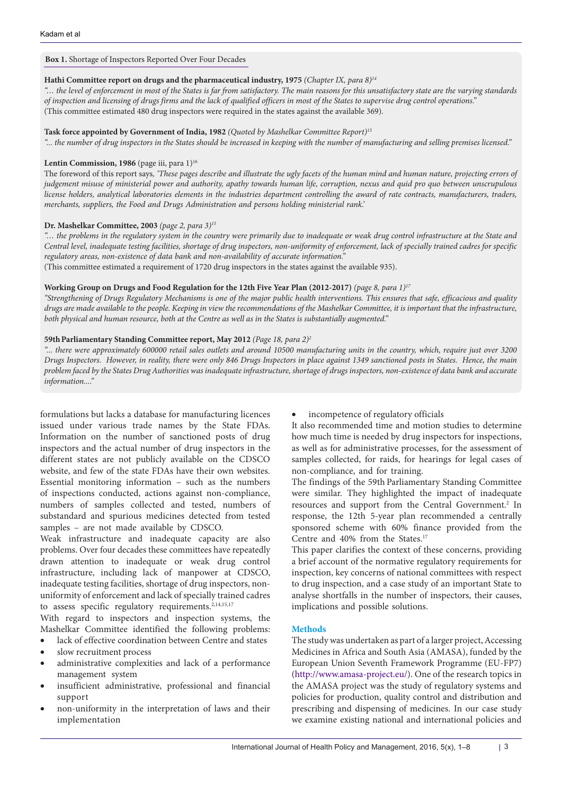# **Box 1.** Shortage of Inspectors Reported Over Four Decades

## **Hathi Committee report on drugs and the pharmaceutical industry, 1975** *(Chapter IX, para 8)14*

*"… the level of enforcement in most of the States is far from satisfactory. The main reasons for this unsatisfactory state are the varying standards of inspection and licensing of drugs firms and the lack of qualified officers in most of the States to supervise drug control operations."*  (This committee estimated 480 drug inspectors were required in the states against the available 369).

## **Task force appointed by Government of India, 1982** *(Quoted by Mashelkar Committee Report)15*

*"... the number of drug inspectors in the States should be increased in keeping with the number of manufacturing and selling premises licensed."*

## Lentin Commission, 1986 (page iii, para 1)<sup>16</sup>

The foreword of this report says*, 'These pages describe and illustrate the ugly facets of the human mind and human nature, projecting errors of judgement misuse of ministerial power and authority, apathy towards human life, corruption, nexus and quid pro quo between unscrupulous license holders, analytical laboratories elements in the industries department controlling the award of rate contracts, manufacturers, traders, merchants, suppliers, the Food and Drugs Administration and persons holding ministerial rank.'*

## **Dr. Mashelkar Committee, 2003** *(page 2, para 3)15*

*"… the problems in the regulatory system in the country were primarily due to inadequate or weak drug control infrastructure at the State and Central level, inadequate testing facilities, shortage of drug inspectors, non-uniformity of enforcement, lack of specially trained cadres for specific regulatory areas, non-existence of data bank and non-availability of accurate information."*  (This committee estimated a requirement of 1720 drug inspectors in the states against the available 935).

# **Working Group on Drugs and Food Regulation for the 12th Five Year Plan (2012-2017)** *(page 8, para 1)17*

*"Strengthening of Drugs Regulatory Mechanisms is one of the major public health interventions. This ensures that safe, efficacious and quality*  drugs are made available to the people. Keeping in view the recommendations of the Mashelkar Committee, it is important that the infrastructure, *both physical and human resource, both at the Centre as well as in the States is substantially augmented."* 

## **59thParliamentary Standing Committee report, May 2012** *(Page 18, para 2)2*

*"... there were approximately 600000 retail sales outlets and around 10500 manufacturing units in the country, which, require just over 3200 Drugs Inspectors. However, in reality, there were only 846 Drugs Inspectors in place against 1349 sanctioned posts in States. Hence, the main problem faced by the States Drug Authorities was inadequate infrastructure, shortage of drugs inspectors, non-existence of data bank and accurate information...."*

formulations but lacks a database for manufacturing licences issued under various trade names by the State FDAs. Information on the number of sanctioned posts of drug inspectors and the actual number of drug inspectors in the different states are not publicly available on the CDSCO website, and few of the state FDAs have their own websites. Essential monitoring information – such as the numbers of inspections conducted, actions against non-compliance, numbers of samples collected and tested, numbers of substandard and spurious medicines detected from tested samples – are not made available by CDSCO.

Weak infrastructure and inadequate capacity are also problems. Over four decades these committees have repeatedly drawn attention to inadequate or weak drug control infrastructure, including lack of manpower at CDSCO, inadequate testing facilities, shortage of drug inspectors, nonuniformity of enforcement and lack of specially trained cadres to assess specific regulatory requirements.<sup>2,14,15,17</sup>

With regard to inspectors and inspection systems, the Mashelkar Committee identified the following problems: lack of effective coordination between Centre and states

- slow recruitment process
- administrative complexities and lack of a performance management system
- insufficient administrative, professional and financial support
- non-uniformity in the interpretation of laws and their implementation

# incompetence of regulatory officials

It also recommended time and motion studies to determine how much time is needed by drug inspectors for inspections, as well as for administrative processes, for the assessment of samples collected, for raids, for hearings for legal cases of non-compliance, and for training.

The findings of the 59th Parliamentary Standing Committee were similar. They highlighted the impact of inadequate resources and support from the Central Government.<sup>2</sup> In response, the 12th 5-year plan recommended a centrally sponsored scheme with 60% finance provided from the Centre and 40% from the States.17

This paper clarifies the context of these concerns, providing a brief account of the normative regulatory requirements for inspection, key concerns of national committees with respect to drug inspection, and a case study of an important State to analyse shortfalls in the number of inspectors, their causes, implications and possible solutions.

# **Methods**

The study was undertaken as part of a larger project, Accessing Medicines in Africa and South Asia (AMASA), funded by the European Union Seventh Framework Programme (EU-FP7) [\(http://www.amasa-project.eu/\)](http://www.amasa-project.eu/). One of the research topics in the AMASA project was the study of regulatory systems and policies for production, quality control and distribution and prescribing and dispensing of medicines. In our case study we examine existing national and international policies and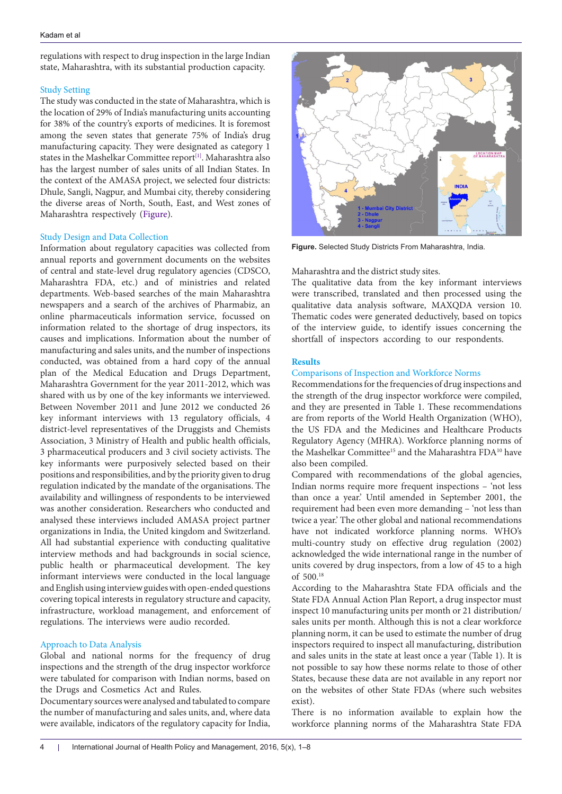regulations with respect to drug inspection in the large Indian state, Maharashtra, with its substantial production capacity.

## Study Setting

The study was conducted in the state of Maharashtra, which is the location of 29% of India's manufacturing units accounting for 38% of the country's exports of medicines. It is foremost among the seven states that generate 75% of India's drug manufacturing capacity. They were designated as category 1 states in the Mashelkar Committee report $^{[1]}$  $^{[1]}$  $^{[1]}$ . Maharashtra also has the largest number of sales units of all Indian States. In the context of the AMASA project, we selected four districts: Dhule, Sangli, Nagpur, and Mumbai city, thereby considering the diverse areas of North, South, East, and West zones of Maharashtra respectively [\(Figure](#page-3-0)).

## Study Design and Data Collection

Information about regulatory capacities was collected from annual reports and government documents on the websites of central and state-level drug regulatory agencies (CDSCO, Maharashtra FDA, etc.) and of ministries and related departments. Web-based searches of the main Maharashtra newspapers and a search of the archives of Pharmabiz, an online pharmaceuticals information service, focussed on information related to the shortage of drug inspectors, its causes and implications. Information about the number of manufacturing and sales units, and the number of inspections conducted, was obtained from a hard copy of the annual plan of the Medical Education and Drugs Department, Maharashtra Government for the year 2011-2012, which was shared with us by one of the key informants we interviewed. Between November 2011 and June 2012 we conducted 26 key informant interviews with 13 regulatory officials, 4 district-level representatives of the Druggists and Chemists Association, 3 Ministry of Health and public health officials, 3 pharmaceutical producers and 3 civil society activists. The key informants were purposively selected based on their positions and responsibilities, and by the priority given to drug regulation indicated by the mandate of the organisations. The availability and willingness of respondents to be interviewed was another consideration. Researchers who conducted and analysed these interviews included AMASA project partner organizations in India, the United kingdom and Switzerland. All had substantial experience with conducting qualitative interview methods and had backgrounds in social science, public health or pharmaceutical development. The key informant interviews were conducted in the local language and English using interview guides with open-ended questions covering topical interests in regulatory structure and capacity, infrastructure, workload management, and enforcement of regulations. The interviews were audio recorded.

# Approach to Data Analysis

Global and national norms for the frequency of drug inspections and the strength of the drug inspector workforce were tabulated for comparison with Indian norms, based on the Drugs and Cosmetics Act and Rules.

Documentary sources were analysed and tabulated to compare the number of manufacturing and sales units, and, where data were available, indicators of the regulatory capacity for India,

<span id="page-3-0"></span>

**Figure.** Selected Study Districts From Maharashtra, India.

#### Maharashtra and the district study sites.

The qualitative data from the key informant interviews were transcribed, translated and then processed using the qualitative data analysis software, MAXQDA version 10. Thematic codes were generated deductively, based on topics of the interview guide, to identify issues concerning the shortfall of inspectors according to our respondents.

#### **Results**

#### Comparisons of Inspection and Workforce Norms

Recommendations for the frequencies of drug inspections and the strength of the drug inspector workforce were compiled, and they are presented in Table 1. These recommendations are from reports of the World Health Organization (WHO), the US FDA and the Medicines and Healthcare Products Regulatory Agency (MHRA). Workforce planning norms of the Mashelkar Committee<sup>15</sup> and the Maharashtra FDA<sup>10</sup> have also been compiled.

Compared with recommendations of the global agencies, Indian norms require more frequent inspections – 'not less than once a year.' Until amended in September 2001, the requirement had been even more demanding – 'not less than twice a year.' The other global and national recommendations have not indicated workforce planning norms. WHO's multi-country study on effective drug regulation (2002) acknowledged the wide international range in the number of units covered by drug inspectors, from a low of 45 to a high of 500.18

According to the Maharashtra State FDA officials and the State FDA Annual Action Plan Report, a drug inspector must inspect 10 manufacturing units per month or 21 distribution/ sales units per month. Although this is not a clear workforce planning norm, it can be used to estimate the number of drug inspectors required to inspect all manufacturing, distribution and sales units in the state at least once a year (Table 1). It is not possible to say how these norms relate to those of other States, because these data are not available in any report nor on the websites of other State FDAs (where such websites exist).

There is no information available to explain how the workforce planning norms of the Maharashtra State FDA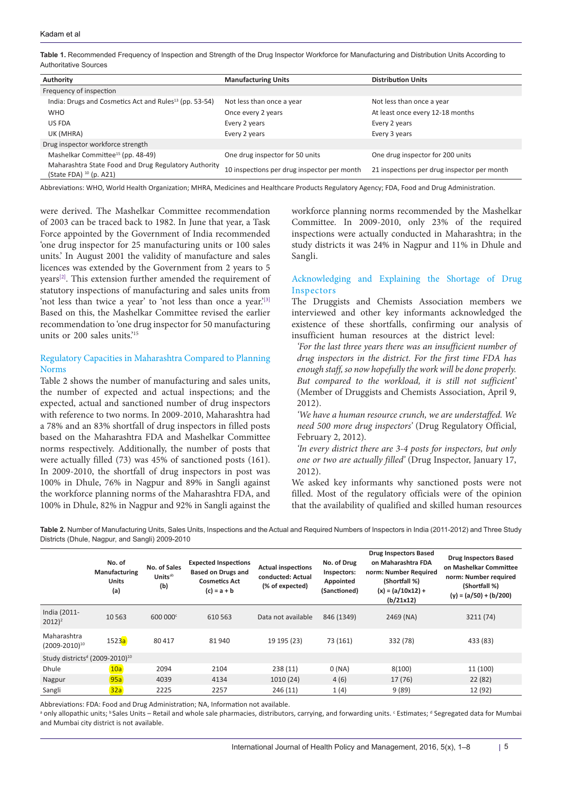**Table 1.** Recommended Frequency of Inspection and Strength of the Drug Inspector Workforce for Manufacturing and Distribution Units According to Authoritative Sources

| Authority                                                                            | <b>Manufacturing Units</b>                  | <b>Distribution Units</b>                   |  |
|--------------------------------------------------------------------------------------|---------------------------------------------|---------------------------------------------|--|
| Frequency of inspection                                                              |                                             |                                             |  |
| India: Drugs and Cosmetics Act and Rules <sup>13</sup> (pp. 53-54)                   | Not less than once a year                   | Not less than once a year                   |  |
| <b>WHO</b>                                                                           | Once every 2 years                          | At least once every 12-18 months            |  |
| US FDA                                                                               | Every 2 years                               | Every 2 years                               |  |
| UK (MHRA)                                                                            | Every 2 years                               | Every 3 years                               |  |
| Drug inspector workforce strength                                                    |                                             |                                             |  |
| Mashelkar Committee <sup>15</sup> (pp. 48-49)                                        | One drug inspector for 50 units             | One drug inspector for 200 units            |  |
| Maharashtra State Food and Drug Regulatory Authority<br>(State FDA) $^{10}$ (p. A21) | 10 inspections per drug inspector per month | 21 inspections per drug inspector per month |  |

Abbreviations: WHO, World Health Organization; MHRA, Medicines and Healthcare Products Regulatory Agency; FDA, Food and Drug Administration.

were derived. The Mashelkar Committee recommendation of 2003 can be traced back to 1982. In June that year, a Task Force appointed by the Government of India recommended 'one drug inspector for 25 manufacturing units or 100 sales units.' In August 2001 the validity of manufacture and sales licences was extended by the Government from 2 years to 5 years[\[2\].](#page-7-1) This extension further amended the requirement of statutory inspections of manufacturing and sales units from 'not less than twice a year' to 'not less than once a year.'<sup>[3]</sup> Based on this, the Mashelkar Committee revised the earlier recommendation to 'one drug inspector for 50 manufacturing units or 200 sales units.'15

# Regulatory Capacities in Maharashtra Compared to Planning Norms

Table 2 shows the number of manufacturing and sales units, the number of expected and actual inspections; and the expected, actual and sanctioned number of drug inspectors with reference to two norms. In 2009-2010, Maharashtra had a 78% and an 83% shortfall of drug inspectors in filled posts based on the Maharashtra FDA and Mashelkar Committee norms respectively. Additionally, the number of posts that were actually filled (73) was 45% of sanctioned posts (161). In 2009-2010, the shortfall of drug inspectors in post was 100% in Dhule, 76% in Nagpur and 89% in Sangli against the workforce planning norms of the Maharashtra FDA, and 100% in Dhule, 82% in Nagpur and 92% in Sangli against the

workforce planning norms recommended by the Mashelkar Committee. In 2009-2010, only 23% of the required inspections were actually conducted in Maharashtra; in the study districts it was 24% in Nagpur and 11% in Dhule and Sangli.

# Acknowledging and Explaining the Shortage of Drug Inspectors

The Druggists and Chemists Association members we interviewed and other key informants acknowledged the existence of these shortfalls, confirming our analysis of insufficient human resources at the district level:

*'For the last three years there was an insufficient number of drug inspectors in the district. For the first time FDA has enough staff, so now hopefully the work will be done properly. But compared to the workload, it is still not sufficient'*  (Member of Druggists and Chemists Association, April 9, 2012).

*'We have a human resource crunch, we are understaffed. We need 500 more drug inspectors'* (Drug Regulatory Official, February 2, 2012).

*'In every district there are 3-4 posts for inspectors, but only one or two are actually filled'* (Drug Inspector, January 17, 2012).

We asked key informants why sanctioned posts were not filled. Most of the regulatory officials were of the opinion that the availability of qualified and skilled human resources

**Table 2.** Number of Manufacturing Units, Sales Units, Inspections and the Actual and Required Numbers of Inspectors in India (2011-2012) and Three Study Districts (Dhule, Nagpur, and Sangli) 2009-2010

|                                                        | No. of<br>Manufacturing<br><b>Units</b><br>(a) | No. of Sales<br><b>Units</b> ab<br>(b) | <b>Expected Inspections</b><br><b>Based on Drugs and</b><br><b>Cosmetics Act</b><br>$(c) = a + b$ | <b>Actual inspections</b><br>conducted: Actual<br>(% of expected) | No. of Drug<br>Inspectors:<br>Appointed<br>(Sanctioned) | <b>Drug Inspectors Based</b><br>on Maharashtra FDA<br>norm: Number Required<br>(Shortfall %)<br>$(x) = (a/10x12) +$<br>(b/21x12) | <b>Drug Inspectors Based</b><br>on Mashelkar Committee<br>norm: Number required<br>(Shortfall %)<br>$(y) = (a/50) + (b/200)$ |  |
|--------------------------------------------------------|------------------------------------------------|----------------------------------------|---------------------------------------------------------------------------------------------------|-------------------------------------------------------------------|---------------------------------------------------------|----------------------------------------------------------------------------------------------------------------------------------|------------------------------------------------------------------------------------------------------------------------------|--|
| India (2011-<br>$2012$ <sup>2</sup>                    | 10563                                          | 600 000 <sup>c</sup>                   | 610 563                                                                                           | Data not available                                                | 846 (1349)                                              | 2469 (NA)                                                                                                                        | 3211 (74)                                                                                                                    |  |
| Maharashtra<br>$(2009 - 2010)^{10}$                    | 1523a                                          | 80417                                  | 81940                                                                                             | 19 195 (23)                                                       | 73 (161)                                                | 332 (78)                                                                                                                         | 433 (83)                                                                                                                     |  |
| Study districts <sup>d</sup> (2009-2010) <sup>10</sup> |                                                |                                        |                                                                                                   |                                                                   |                                                         |                                                                                                                                  |                                                                                                                              |  |
| <b>Dhule</b>                                           | 10a                                            | 2094                                   | 2104                                                                                              | 238(11)                                                           | 0(NA)                                                   | 8(100)                                                                                                                           | 11 (100)                                                                                                                     |  |
| Nagpur                                                 | 95a                                            | 4039                                   | 4134                                                                                              | 1010(24)                                                          | 4(6)                                                    | 17 (76)                                                                                                                          | 22(82)                                                                                                                       |  |
| Sangli                                                 | 32a                                            | 2225                                   | 2257                                                                                              | 246(11)                                                           | 1(4)                                                    | 9(89)                                                                                                                            | 12 (92)                                                                                                                      |  |

Abbreviations: FDA: Food and Drug Administration; NA, Information not available.

<sup>a</sup> only allopathic units; <sup>b</sup>Sales Units – Retail and whole sale pharmacies, distributors, carrying, and forwarding units. <sup>c</sup> Estimates; <sup>d</sup> Segregated data for Mumbai and Mumbai city district is not available.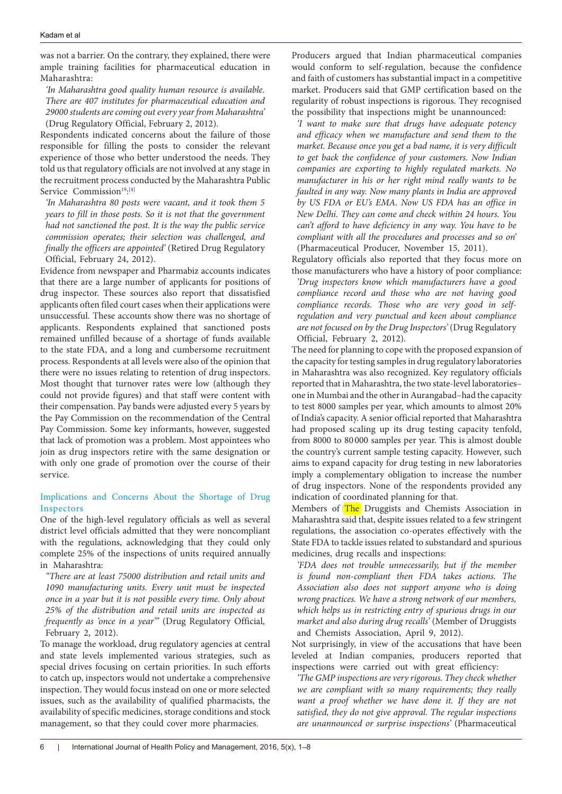was not a barrier. On the contrary, they explained, there were ample training facilities for pharmaceutical education in Maharashtra:

*'In Maharashtra good quality human resource is available. There are 407 institutes for pharmaceutical education and 29000 students are coming out every year from Maharashtra'*  (Drug Regulatory Official, February 2, 2012).

Respondents indicated concerns about the failure of those responsible for filling the posts to consider the relevant experience of those who better understood the needs. They told us that regulatory officials are not involved at any stage in the recruitment process conducted by the Maharashtra Public Service Commission<sup>19</sup>:<sup>[\[4\]](#page-7-3)</sup>

*'In Maharashtra 80 posts were vacant, and it took them 5 years to fill in those posts. So it is not that the government had not sanctioned the post. It is the way the public service commission operates; their selection was challenged, and finally the officers are appointed'* (Retired Drug Regulatory Official, February 24, 2012).

Evidence from newspaper and Pharmabiz accounts indicates that there are a large number of applicants for positions of drug inspector. These sources also report that dissatisfied applicants often filed court cases when their applications were unsuccessful. These accounts show there was no shortage of applicants. Respondents explained that sanctioned posts remained unfilled because of a shortage of funds available to the state FDA, and a long and cumbersome recruitment process. Respondents at all levels were also of the opinion that there were no issues relating to retention of drug inspectors. Most thought that turnover rates were low (although they could not provide figures) and that staff were content with their compensation. Pay bands were adjusted every 5 years by the Pay Commission on the recommendation of the Central Pay Commission. Some key informants, however, suggested that lack of promotion was a problem. Most appointees who join as drug inspectors retire with the same designation or with only one grade of promotion over the course of their service.

# Implications and Concerns About the Shortage of Drug Inspectors

One of the high-level regulatory officials as well as several district level officials admitted that they were noncompliant with the regulations, acknowledging that they could only complete 25% of the inspections of units required annually in Maharashtra:

*"There are at least 75000 distribution and retail units and 1090 manufacturing units. Every unit must be inspected once in a year but it is not possible every time. Only about 25% of the distribution and retail units are inspected as frequently as 'once in a year'"* (Drug Regulatory Official, February 2, 2012).

To manage the workload, drug regulatory agencies at central and state levels implemented various strategies, such as special drives focusing on certain priorities. In such efforts to catch up, inspectors would not undertake a comprehensive inspection. They would focus instead on one or more selected issues, such as the availability of qualified pharmacists, the availability of specific medicines, storage conditions and stock management, so that they could cover more pharmacies.

Producers argued that Indian pharmaceutical companies would conform to self-regulation, because the confidence and faith of customers has substantial impact in a competitive market. Producers said that GMP certification based on the regularity of robust inspections is rigorous. They recognised the possibility that inspections might be unannounced:

*'I want to make sure that drugs have adequate potency and efficacy when we manufacture and send them to the market. Because once you get a bad name, it is very difficult to get back the confidence of your customers. Now Indian companies are exporting to highly regulated markets. No manufacturer in his or her right mind really wants to be faulted in any way. Now many plants in India are approved by US FDA or EU's EMA. Now US FDA has an office in New Delhi. They can come and check within 24 hours. You can't afford to have deficiency in any way. You have to be compliant with all the procedures and processes and so on'*  (Pharmaceutical Producer, November 15, 2011).

Regulatory officials also reported that they focus more on those manufacturers who have a history of poor compliance:

*'Drug inspectors know which manufacturers have a good compliance record and those who are not having good compliance records. Those who are very good in selfregulation and very punctual and keen about compliance are not focused on by the Drug Inspectors'* (Drug Regulatory Official, February 2, 2012).

The need for planning to cope with the proposed expansion of the capacity for testing samples in drug regulatory laboratories in Maharashtra was also recognized. Key regulatory officials reported that in Maharashtra, the two state-level laboratories– one in Mumbai and the other in Aurangabad–had the capacity to test 8000 samples per year, which amounts to almost 20% of India's capacity. A senior official reported that Maharashtra had proposed scaling up its drug testing capacity tenfold, from 8000 to 80 000 samples per year. This is almost double the country's current sample testing capacity. However, such aims to expand capacity for drug testing in new laboratories imply a complementary obligation to increase the number of drug inspectors. None of the respondents provided any indication of coordinated planning for that.

Members of The Druggists and Chemists Association in Maharashtra said that, despite issues related to a few stringent regulations, the association co-operates effectively with the State FDA to tackle issues related to substandard and spurious medicines, drug recalls and inspections:

*'FDA does not trouble unnecessarily, but if the member is found non-compliant then FDA takes actions. The Association also does not support anyone who is doing wrong practices. We have a strong network of our members, which helps us in restricting entry of spurious drugs in our market and also during drug recalls'* (Member of Druggists and Chemists Association, April 9, 2012).

Not surprisingly, in view of the accusations that have been leveled at Indian companies, producers reported that inspections were carried out with great efficiency:

*'The GMP inspections are very rigorous. They check whether we are compliant with so many requirements; they really want a proof whether we have done it. If they are not satisfied, they do not give approval. The regular inspections are unannounced or surprise inspections'* (Pharmaceutical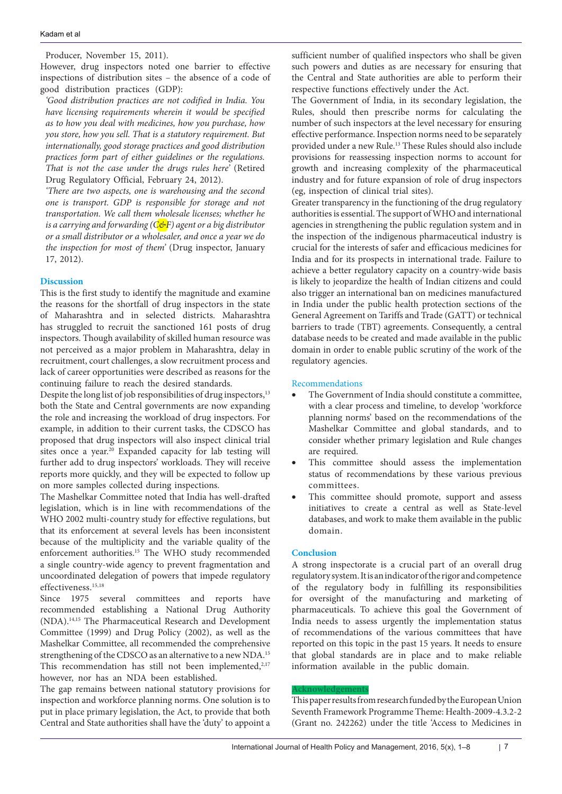#### Kadam et al

Producer, November 15, 2011).

However, drug inspectors noted one barrier to effective inspections of distribution sites – the absence of a code of good distribution practices (GDP):

*'Good distribution practices are not codified in India. You have licensing requirements wherein it would be specified as to how you deal with medicines, how you purchase, how you store, how you sell. That is a statutory requirement. But internationally, good storage practices and good distribution practices form part of either guidelines or the regulations. That is not the case under the drugs rules here'* (Retired Drug Regulatory Official, February 24, 2012).

*'There are two aspects, one is warehousing and the second one is transport. GDP is responsible for storage and not transportation. We call them wholesale licenses; whether he is a carrying and forwarding (C&F) agent or a big distributor or a small distributor or a wholesaler, and once a year we do the inspection for most of them'* (Drug inspector, January 17, 2012).

## **Discussion**

This is the first study to identify the magnitude and examine the reasons for the shortfall of drug inspectors in the state of Maharashtra and in selected districts. Maharashtra has struggled to recruit the sanctioned 161 posts of drug inspectors. Though availability of skilled human resource was not perceived as a major problem in Maharashtra, delay in recruitment, court challenges, a slow recruitment process and lack of career opportunities were described as reasons for the continuing failure to reach the desired standards.

Despite the long list of job responsibilities of drug inspectors,<sup>13</sup> both the State and Central governments are now expanding the role and increasing the workload of drug inspectors. For example, in addition to their current tasks, the CDSCO has proposed that drug inspectors will also inspect clinical trial sites once a year.<sup>20</sup> Expanded capacity for lab testing will further add to drug inspectors' workloads. They will receive reports more quickly, and they will be expected to follow up on more samples collected during inspections.

The Mashelkar Committee noted that India has well-drafted legislation, which is in line with recommendations of the WHO 2002 multi-country study for effective regulations, but that its enforcement at several levels has been inconsistent because of the multiplicity and the variable quality of the enforcement authorities.15 The WHO study recommended a single country-wide agency to prevent fragmentation and uncoordinated delegation of powers that impede regulatory effectiveness.15,18

Since 1975 several committees and reports have recommended establishing a National Drug Authority (NDA).14,15 The Pharmaceutical Research and Development Committee (1999) and Drug Policy (2002), as well as the Mashelkar Committee, all recommended the comprehensive strengthening of the CDSCO as an alternative to a new NDA.15 This recommendation has still not been implemented, $2,17$ however, nor has an NDA been established.

The gap remains between national statutory provisions for inspection and workforce planning norms. One solution is to put in place primary legislation, the Act, to provide that both Central and State authorities shall have the 'duty' to appoint a

sufficient number of qualified inspectors who shall be given such powers and duties as are necessary for ensuring that the Central and State authorities are able to perform their respective functions effectively under the Act.

The Government of India, in its secondary legislation, the Rules, should then prescribe norms for calculating the number of such inspectors at the level necessary for ensuring effective performance. Inspection norms need to be separately provided under a new Rule.13 These Rules should also include provisions for reassessing inspection norms to account for growth and increasing complexity of the pharmaceutical industry and for future expansion of role of drug inspectors (eg, inspection of clinical trial sites).

Greater transparency in the functioning of the drug regulatory authorities is essential. The support of WHO and international agencies in strengthening the public regulation system and in the inspection of the indigenous pharmaceutical industry is crucial for the interests of safer and efficacious medicines for India and for its prospects in international trade. Failure to achieve a better regulatory capacity on a country-wide basis is likely to jeopardize the health of Indian citizens and could also trigger an international ban on medicines manufactured in India under the public health protection sections of the General Agreement on Tariffs and Trade (GATT) or technical barriers to trade (TBT) agreements. Consequently, a central database needs to be created and made available in the public domain in order to enable public scrutiny of the work of the regulatory agencies.

#### Recommendations

- The Government of India should constitute a committee, with a clear process and timeline, to develop 'workforce planning norms' based on the recommendations of the Mashelkar Committee and global standards, and to consider whether primary legislation and Rule changes are required.
- This committee should assess the implementation status of recommendations by these various previous committees.
- This committee should promote, support and assess initiatives to create a central as well as State-level databases, and work to make them available in the public domain.

# **Conclusion**

A strong inspectorate is a crucial part of an overall drug regulatory system. It is an indicator of the rigor and competence of the regulatory body in fulfilling its responsibilities for oversight of the manufacturing and marketing of pharmaceuticals. To achieve this goal the Government of India needs to assess urgently the implementation status of recommendations of the various committees that have reported on this topic in the past 15 years. It needs to ensure that global standards are in place and to make reliable information available in the public domain.

#### **Acknowledgements**

This paper results from research funded by the European Union Seventh Framework Programme Theme: Health-2009-4.3.2-2 (Grant no. 242262) under the title 'Access to Medicines in